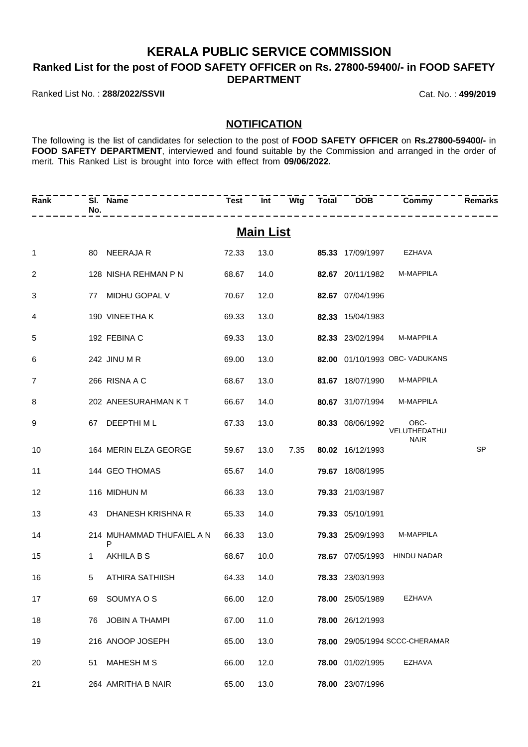## **KERALA PUBLIC SERVICE COMMISSION**

**Ranked List for the post of FOOD SAFETY OFFICER on Rs. 27800-59400/- in FOOD SAFETY DEPARTMENT**

Ranked List No. : **288/2022/SSVII** Cat. No. : **499/2019**

## **NOTIFICATION**

The following is the list of candidates for selection to the post of **FOOD SAFETY OFFICER** on **Rs.27800-59400/-** in FOOD SAFETY DEPARTMENT, interviewed and found suitable by the Commission and arranged in the order of merit. This Ranked List is brought into force with effect from **09/06/2022.**

| Rank         | No. | SI. Name                       |       |                  |      |                  | Test Int Wtg Total DOB Commy        | <b>Remarks</b> |
|--------------|-----|--------------------------------|-------|------------------|------|------------------|-------------------------------------|----------------|
|              |     |                                |       | <b>Main List</b> |      |                  |                                     |                |
| $\mathbf{1}$ |     | 80 NEERAJA R                   | 72.33 | 13.0             |      |                  | 85.33 17/09/1997 EZHAVA             |                |
| 2            |     | 128 NISHA REHMAN P N           | 68.67 | 14.0             |      |                  | 82.67 20/11/1982 M-MAPPILA          |                |
| 3            |     | 77 MIDHU GOPAL V               | 70.67 | 12.0             |      | 82.67 07/04/1996 |                                     |                |
| 4            |     | 190 VINEETHA K                 | 69.33 | 13.0             |      | 82.33 15/04/1983 |                                     |                |
| 5            |     | 192 FEBINA C                   | 69.33 | 13.0             |      | 82.33 23/02/1994 | M-MAPPILA                           |                |
| 6            |     | 242 JINU M R                   | 69.00 | 13.0             |      |                  | 82.00 01/10/1993 OBC- VADUKANS      |                |
| 7            |     | 266 RISNA A C                  | 68.67 | 13.0             |      |                  | 81.67 18/07/1990 M-MAPPILA          |                |
| 8            |     | 202 ANEESURAHMAN KT            | 66.67 | 14.0             |      |                  | 80.67 31/07/1994 M-MAPPILA          |                |
| 9            |     | 67 DEEPTHIML                   | 67.33 | 13.0             |      | 80.33 08/06/1992 | OBC-<br>VELUTHEDATHU<br><b>NAIR</b> |                |
| 10           |     | 164 MERIN ELZA GEORGE          | 59.67 | 13.0             | 7.35 | 80.02 16/12/1993 |                                     | <b>SP</b>      |
| 11           |     | 144 GEO THOMAS                 | 65.67 | 14.0             |      | 79.67 18/08/1995 |                                     |                |
| 12           |     | 116 MIDHUN M                   | 66.33 | 13.0             |      | 79.33 21/03/1987 |                                     |                |
| 13           |     | 43 DHANESH KRISHNA R           | 65.33 | 14.0             |      | 79.33 05/10/1991 |                                     |                |
| 14           |     | 214 MUHAMMAD THUFAIEL A N<br>P | 66.33 | 13.0             |      | 79.33 25/09/1993 | M-MAPPILA                           |                |
| 15           | 1   | AKHILA B S                     | 68.67 | 10.0             |      |                  | 78.67 07/05/1993 HINDU NADAR        |                |
| 16           | 5   | ATHIRA SATHIISH                | 64.33 | 14.0             |      | 78.33 23/03/1993 |                                     |                |
| 17           | 69  | SOUMYA O S                     | 66.00 | 12.0             |      | 78.00 25/05/1989 | <b>EZHAVA</b>                       |                |
| 18           | 76  | <b>JOBIN A THAMPI</b>          | 67.00 | 11.0             |      | 78.00 26/12/1993 |                                     |                |
| 19           |     | 216 ANOOP JOSEPH               | 65.00 | 13.0             |      |                  | 78.00 29/05/1994 SCCC-CHERAMAR      |                |
| 20           | 51  | MAHESH M S                     | 66.00 | 12.0             |      | 78.00 01/02/1995 | <b>EZHAVA</b>                       |                |
| 21           |     | 264 AMRITHA B NAIR             | 65.00 | 13.0             |      | 78.00 23/07/1996 |                                     |                |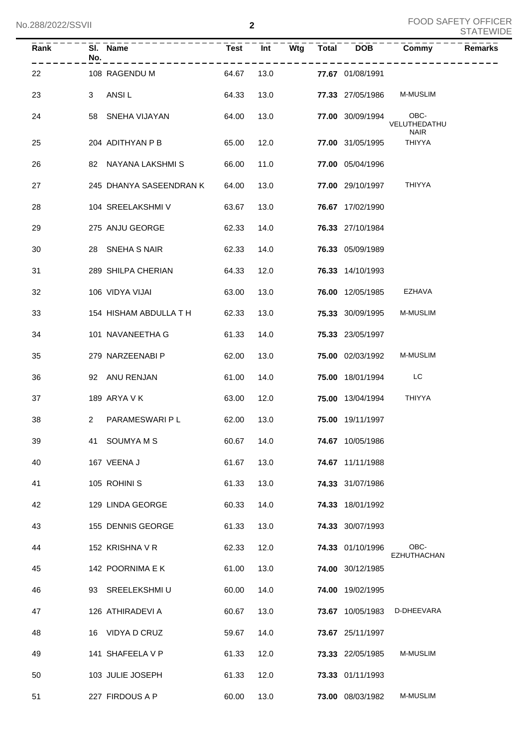| Rank | No.            | SI. Name                      |       | Test Int |      | $Wtg$ Total DOB                | Commy                       | <b>Remarks</b> |
|------|----------------|-------------------------------|-------|----------|------|--------------------------------|-----------------------------|----------------|
| 22   |                | 108 RAGENDU M                 |       |          |      | 64.67  13.0  77.67  01/08/1991 |                             |                |
| 23   | 3              | ANSI L                        | 64.33 |          | 13.0 |                                | 77.33 27/05/1986 M-MUSLIM   |                |
| 24   |                | 58 SNEHA VIJAYAN              | 64.00 |          | 13.0 | 77.00 30/09/1994 OBC-          | VELUTHEDATHU<br><b>NAIR</b> |                |
| 25   |                | 204 ADITHYAN P B              | 65.00 | 12.0     |      | 77.00 31/05/1995               | <b>THIYYA</b>               |                |
| 26   |                | 82 NAYANA LAKSHMIS            | 66.00 |          | 11.0 | 77.00 05/04/1996               |                             |                |
| 27   |                | 245 DHANYA SASEENDRAN K 64.00 |       |          | 13.0 | 77.00 29/10/1997 THIYYA        |                             |                |
| 28   |                | 104 SREELAKSHMI V             | 63.67 |          | 13.0 | 76.67 17/02/1990               |                             |                |
| 29   |                | 275 ANJU GEORGE               | 62.33 |          | 14.0 | 76.33 27/10/1984               |                             |                |
| 30   |                | 28 SNEHA S NAIR               | 62.33 |          | 14.0 | 76.33 05/09/1989               |                             |                |
| 31   |                | 289 SHILPA CHERIAN            | 64.33 |          | 12.0 | 76.33 14/10/1993               |                             |                |
| 32   |                | 106 VIDYA VIJAI               | 63.00 | 13.0     |      |                                | 76.00 12/05/1985 EZHAVA     |                |
| 33   |                | 154 HISHAM ABDULLA T H        | 62.33 | 13.0     |      | 75.33 30/09/1995               | <b>M-MUSLIM</b>             |                |
| 34   |                | 101 NAVANEETHA G              | 61.33 | 14.0     |      | 75.33 23/05/1997               |                             |                |
| 35   |                | 279 NARZEENABI P              | 62.00 | 13.0     |      | <b>75.00</b> 02/03/1992        | <b>M-MUSLIM</b>             |                |
| 36   |                | 92 ANU RENJAN                 | 61.00 | 14.0     |      | 75.00 18/01/1994 LC            |                             |                |
| 37   |                | 189 ARYA V K                  | 63.00 | 12.0     |      | 75.00 13/04/1994 THIYYA        |                             |                |
| 38   | $\overline{2}$ | PARAMESWARI P L               | 62.00 | 13.0     |      | 75.00 19/11/1997               |                             |                |
| 39   |                | 41 SOUMYAMS                   | 60.67 | 14.0     |      | 74.67 10/05/1986               |                             |                |
| 40   |                | 167 VEENA J                   | 61.67 | 13.0     |      | 74.67 11/11/1988               |                             |                |
| 41   |                | 105 ROHINI S                  | 61.33 | 13.0     |      | 74.33 31/07/1986               |                             |                |
| 42   |                | 129 LINDA GEORGE              | 60.33 | 14.0     |      | 74.33 18/01/1992               |                             |                |
| 43   |                | 155 DENNIS GEORGE             | 61.33 | 13.0     |      | 74.33 30/07/1993               |                             |                |
| 44   |                | 152 KRISHNA V R               | 62.33 | 12.0     |      | 74.33 01/10/1996               | OBC-<br>EZHUTHACHAN         |                |
| 45   |                | 142 POORNIMA E K              | 61.00 | 13.0     |      | 74.00 30/12/1985               |                             |                |
| 46   |                | 93 SREELEKSHMIU               | 60.00 | 14.0     |      | 74.00 19/02/1995               |                             |                |
| 47   |                | 126 ATHIRADEVI A              | 60.67 | 13.0     |      | 73.67 10/05/1983               | D-DHEEVARA                  |                |
| 48   |                | 16 VIDYA D CRUZ               | 59.67 | 14.0     |      | 73.67 25/11/1997               |                             |                |
| 49   |                | 141 SHAFEELA V P              | 61.33 | 12.0     |      | 73.33 22/05/1985               | M-MUSLIM                    |                |
| 50   |                | 103 JULIE JOSEPH              | 61.33 | 12.0     |      | 73.33 01/11/1993               |                             |                |
| 51   |                | 227 FIRDOUS A P               | 60.00 | 13.0     |      | 73.00 08/03/1982               | M-MUSLIM                    |                |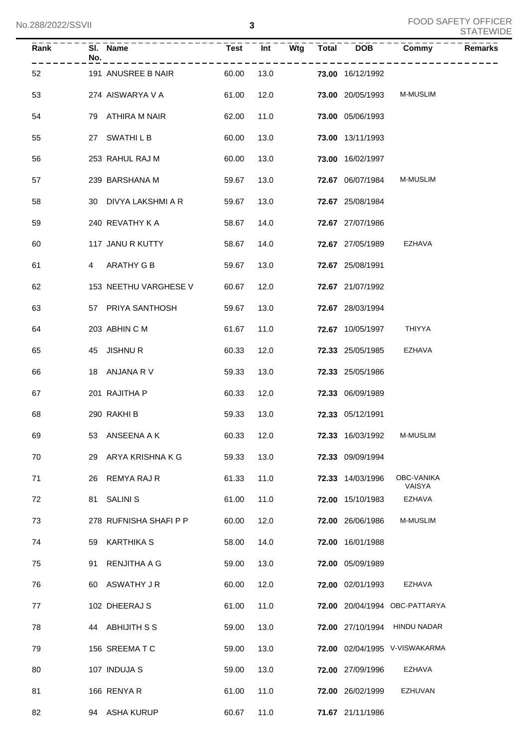| <b>Rank</b> | SI. Name<br>No.        | $Test$ $Int$ |            | Wtg Total DOB |                         | Commy                         | <b>Remarks</b> |
|-------------|------------------------|--------------|------------|---------------|-------------------------|-------------------------------|----------------|
| 52          | 191 ANUSREE B NAIR     | 60.00        | 13.0       |               | 73.00 16/12/1992        |                               |                |
| 53          | 274 AISWARYA V A       | 61.00        | 12.0       |               | <b>73.00 20/05/1993</b> | <b>M-MUSLIM</b>               |                |
| 54          | 79 ATHIRA M NAIR       | 62.00        | 11.0       |               | 73.00 05/06/1993        |                               |                |
| 55          | 27 SWATHILB            | 60.00        | 13.0       |               | 73.00 13/11/1993        |                               |                |
| 56          | 253 RAHUL RAJ M        | 60.00        | 13.0       |               | 73.00 16/02/1997        |                               |                |
| 57          | 239 BARSHANA M         | 59.67        | 13.0       |               | 72.67 06/07/1984        | <b>M-MUSLIM</b>               |                |
| 58          | 30 DIVYA LAKSHMI A R   | 59.67        | 13.0       |               | 72.67 25/08/1984        |                               |                |
| 59          | 240 REVATHY K A        | 58.67        | 14.0       |               | 72.67 27/07/1986        |                               |                |
| 60          | 117 JANU R KUTTY       | 58.67        | 14.0       |               | 72.67 27/05/1989        | EZHAVA                        |                |
| 61          | 4 ARATHY G B           | 59.67        | 13.0       |               | 72.67 25/08/1991        |                               |                |
| 62          | 153 NEETHU VARGHESE V  | 60.67        | 12.0       |               | 72.67 21/07/1992        |                               |                |
| 63          | 57 PRIYA SANTHOSH      | 59.67        | 13.0       |               | 72.67 28/03/1994        |                               |                |
| 64          | 203 ABHIN C M          | 61.67        | 11.0       |               | <b>72.67</b> 10/05/1997 | THIYYA                        |                |
| 65          | 45 JISHNUR             | 60.33        | 12.0       |               | <b>72.33</b> 25/05/1985 | EZHAVA                        |                |
| 66          | 18 ANJANA R V          | 59.33        | 13.0       |               | 72.33 25/05/1986        |                               |                |
| 67          | 201 RAJITHA P          | 60.33        | 12.0       |               | 72.33 06/09/1989        |                               |                |
| 68          | 290 RAKHI B            | 59.33        | 13.0       |               | 72.33 05/12/1991        |                               |                |
| 69          | 53 ANSEENA A K         |              | 60.33 12.0 |               |                         | 72.33 16/03/1992 M-MUSLIM     |                |
| 70          | 29 ARYA KRISHNA K G    | 59.33        | 13.0       |               | 72.33 09/09/1994        |                               |                |
| 71          | 26 REMYA RAJ R         | 61.33        | 11.0       |               | 72.33 14/03/1996        | OBC-VANIKA<br>VAISYA          |                |
| 72          | <b>SALINI S</b><br>81  | 61.00        | 11.0       |               | 72.00 15/10/1983        | <b>EZHAVA</b>                 |                |
| 73          | 278 RUFNISHA SHAFI P P | 60.00        | 12.0       |               | 72.00 26/06/1986        | M-MUSLIM                      |                |
| 74          | 59 KARTHIKA S          | 58.00        | 14.0       |               | 72.00 16/01/1988        |                               |                |
| 75          | RENJITHA A G<br>91     | 59.00        | 13.0       |               | 72.00 05/09/1989        |                               |                |
| 76          | 60 ASWATHY JR          | 60.00        | 12.0       |               | 72.00 02/01/1993        | EZHAVA                        |                |
| 77          | 102 DHEERAJ S          | 61.00        | 11.0       |               |                         | 72.00 20/04/1994 OBC-PATTARYA |                |
| 78          | 44 ABHIJITH S S        | 59.00        | 13.0       |               |                         | 72.00 27/10/1994 HINDU NADAR  |                |
| 79          | 156 SREEMATC           | 59.00        | 13.0       |               |                         | 72.00 02/04/1995 V-VISWAKARMA |                |
| 80          | 107 INDUJA S           | 59.00        | 13.0       |               | 72.00 27/09/1996        | EZHAVA                        |                |
| 81          | 166 RENYA R            | 61.00        | 11.0       |               | 72.00 26/02/1999        | EZHUVAN                       |                |
| 82          | 94 ASHA KURUP          | 60.67        | 11.0       |               | 71.67 21/11/1986        |                               |                |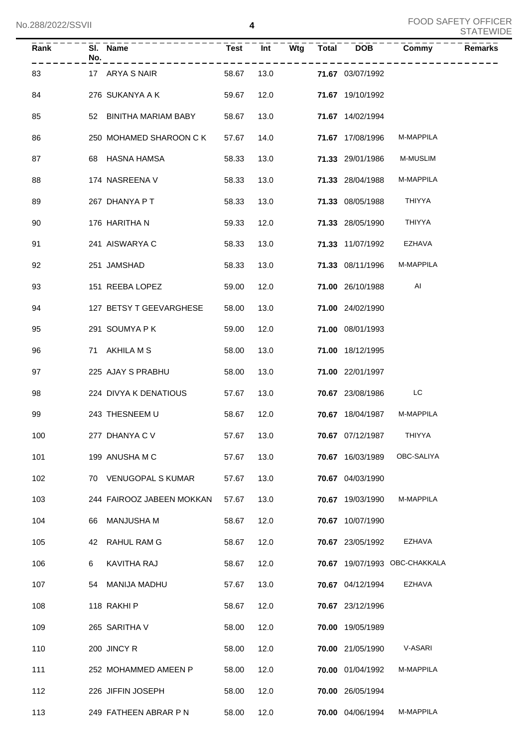| Rank | No. | SI. Name                  | <b>Test</b> | Int  | Wtg | Total | <b>DOB</b>              | Commy                         | <b>Remarks</b> |
|------|-----|---------------------------|-------------|------|-----|-------|-------------------------|-------------------------------|----------------|
| 83   |     | 17 ARYA S NAIR            | 58.67       | 13.0 |     |       | 71.67 03/07/1992        |                               |                |
| 84   |     | 276 SUKANYA A K           | 59.67       | 12.0 |     |       | 71.67 19/10/1992        |                               |                |
| 85   |     | 52 BINITHA MARIAM BABY    | 58.67       | 13.0 |     |       | 71.67 14/02/1994        |                               |                |
| 86   |     | 250 MOHAMED SHAROON C K   | 57.67       | 14.0 |     |       | 71.67 17/08/1996        | M-MAPPILA                     |                |
| 87   |     | 68 HASNA HAMSA            | 58.33       | 13.0 |     |       | 71.33 29/01/1986        | M-MUSLIM                      |                |
| 88   |     | 174 NASREENA V            | 58.33       | 13.0 |     |       | 71.33 28/04/1988        | M-MAPPILA                     |                |
| 89   |     | 267 DHANYA P T            | 58.33       | 13.0 |     |       | 71.33 08/05/1988        | THIYYA                        |                |
| 90   |     | 176 HARITHA N             | 59.33       | 12.0 |     |       | 71.33 28/05/1990        | THIYYA                        |                |
| 91   |     | 241 AISWARYA C            | 58.33       | 13.0 |     |       | 71.33 11/07/1992        | EZHAVA                        |                |
| 92   |     | 251 JAMSHAD               | 58.33       | 13.0 |     |       | 71.33 08/11/1996        | M-MAPPILA                     |                |
| 93   |     | 151 REEBA LOPEZ           | 59.00       | 12.0 |     |       | 71.00 26/10/1988        | AI                            |                |
| 94   |     | 127 BETSY T GEEVARGHESE   | 58.00       | 13.0 |     |       | 71.00 24/02/1990        |                               |                |
| 95   |     | 291 SOUMYA P K            | 59.00       | 12.0 |     |       | 71.00 08/01/1993        |                               |                |
| 96   |     | 71 AKHILA M S             | 58.00       | 13.0 |     |       | 71.00 18/12/1995        |                               |                |
| 97   |     | 225 AJAY S PRABHU         | 58.00       | 13.0 |     |       | 71.00 22/01/1997        |                               |                |
| 98   |     | 224 DIVYA K DENATIOUS     | 57.67       | 13.0 |     |       | 70.67 23/08/1986        | LC                            |                |
| 99   |     | 243 THESNEEM U            | 58.67       | 12.0 |     |       | 70.67 18/04/1987        | M-MAPPILA                     |                |
| 100  |     | 277 DHANYA C V            | 57.67 13.0  |      |     |       | <b>70.67</b> 07/12/1987 | THIYYA                        |                |
| 101  |     | 199 ANUSHA M C            | 57.67       | 13.0 |     |       | 70.67 16/03/1989        | OBC-SALIYA                    |                |
| 102  |     | 70 VENUGOPAL S KUMAR      | 57.67       | 13.0 |     |       | 70.67 04/03/1990        |                               |                |
| 103  |     | 244 FAIROOZ JABEEN MOKKAN | 57.67       | 13.0 |     |       | 70.67 19/03/1990        | M-MAPPILA                     |                |
| 104  | 66. | MANJUSHA M                | 58.67       | 12.0 |     |       | 70.67 10/07/1990        |                               |                |
| 105  |     | 42 RAHUL RAM G            | 58.67       | 12.0 |     |       | 70.67 23/05/1992        | <b>EZHAVA</b>                 |                |
| 106  | 6   | KAVITHA RAJ               | 58.67       | 12.0 |     |       |                         | 70.67 19/07/1993 OBC-CHAKKALA |                |
| 107  |     | 54 MANIJA MADHU           | 57.67       | 13.0 |     |       | 70.67 04/12/1994        | <b>EZHAVA</b>                 |                |
| 108  |     | 118 RAKHI P               | 58.67       | 12.0 |     |       | 70.67 23/12/1996        |                               |                |
| 109  |     | 265 SARITHA V             | 58.00       | 12.0 |     |       | 70.00 19/05/1989        |                               |                |
| 110  |     | 200 JINCY R               | 58.00       | 12.0 |     |       | 70.00 21/05/1990        | V-ASARI                       |                |
| 111  |     | 252 MOHAMMED AMEEN P      | 58.00       | 12.0 |     |       | 70.00 01/04/1992        | M-MAPPILA                     |                |
| 112  |     | 226 JIFFIN JOSEPH         | 58.00       | 12.0 |     |       | 70.00 26/05/1994        |                               |                |
| 113  |     | 249 FATHEEN ABRAR P N     | 58.00       | 12.0 |     |       | 70.00 04/06/1994        | M-MAPPILA                     |                |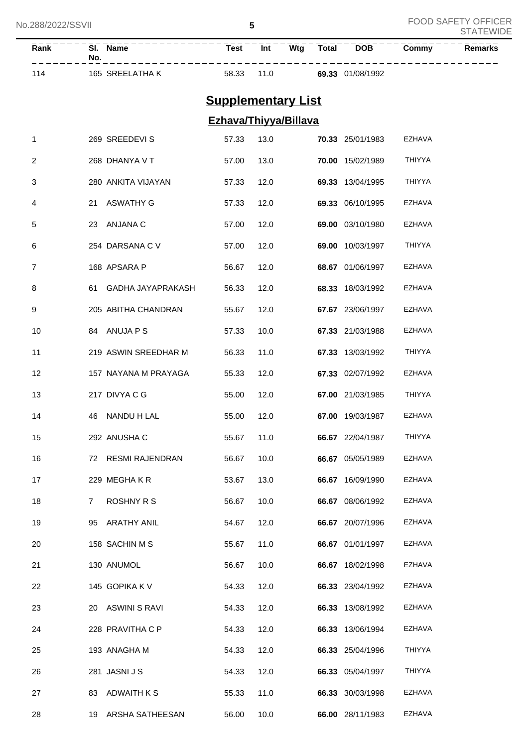| Rank | SI.<br><b>Name</b><br>No. | Test  | Int  | Wta | <b>Total</b> | <b>DOB</b> | Commv | Remarks |
|------|---------------------------|-------|------|-----|--------------|------------|-------|---------|
| 114  | SREELATHA K<br>165        | 58.33 | 11.0 |     | 69.33        | 01/08/1992 |       |         |

## **Supplementary List**

## **Ezhava/Thiyya/Billava**

| 1  |    | 269 SREEDEVI S       | 57.33 | 13.0 | 70.33 25/01/1983 | EZHAVA        |
|----|----|----------------------|-------|------|------------------|---------------|
| 2  |    | 268 DHANYA V T       | 57.00 | 13.0 | 70.00 15/02/1989 | THIYYA        |
| 3  |    | 280 ANKITA VIJAYAN   | 57.33 | 12.0 | 69.33 13/04/1995 | THIYYA        |
| 4  | 21 | ASWATHY G            | 57.33 | 12.0 | 69.33 06/10/1995 | EZHAVA        |
| 5  | 23 | ANJANA C             | 57.00 | 12.0 | 69.00 03/10/1980 | EZHAVA        |
| 6  |    | 254 DARSANA C V      | 57.00 | 12.0 | 69.00 10/03/1997 | THIYYA        |
| 7  |    | 168 APSARA P         | 56.67 | 12.0 | 68.67 01/06/1997 | EZHAVA        |
| 8  | 61 | GADHA JAYAPRAKASH    | 56.33 | 12.0 | 68.33 18/03/1992 | EZHAVA        |
| 9  |    | 205 ABITHA CHANDRAN  | 55.67 | 12.0 | 67.67 23/06/1997 | EZHAVA        |
| 10 |    | 84 ANUJA P S         | 57.33 | 10.0 | 67.33 21/03/1988 | EZHAVA        |
| 11 |    | 219 ASWIN SREEDHAR M | 56.33 | 11.0 | 67.33 13/03/1992 | THIYYA        |
| 12 |    | 157 NAYANA M PRAYAGA | 55.33 | 12.0 | 67.33 02/07/1992 | EZHAVA        |
| 13 |    | 217 DIVYA C G        | 55.00 | 12.0 | 67.00 21/03/1985 | THIYYA        |
| 14 | 46 | NANDU H LAL          | 55.00 | 12.0 | 67.00 19/03/1987 | <b>EZHAVA</b> |
| 15 |    | 292 ANUSHA C         | 55.67 | 11.0 | 66.67 22/04/1987 | THIYYA        |
| 16 |    | 72 RESMI RAJENDRAN   | 56.67 | 10.0 | 66.67 05/05/1989 | <b>EZHAVA</b> |
| 17 |    | 229 MEGHAKR          | 53.67 | 13.0 | 66.67 16/09/1990 | <b>EZHAVA</b> |
| 18 | 7  | <b>ROSHNY R S</b>    | 56.67 | 10.0 | 66.67 08/06/1992 | <b>EZHAVA</b> |
| 19 | 95 | ARATHY ANIL          | 54.67 | 12.0 | 66.67 20/07/1996 | EZHAVA        |
| 20 |    | 158 SACHIN M S       | 55.67 | 11.0 | 66.67 01/01/1997 | EZHAVA        |
| 21 |    | 130 ANUMOL           | 56.67 | 10.0 | 66.67 18/02/1998 | <b>EZHAVA</b> |
| 22 |    | 145 GOPIKA K V       | 54.33 | 12.0 | 66.33 23/04/1992 | <b>EZHAVA</b> |
| 23 | 20 | ASWINI S RAVI        | 54.33 | 12.0 | 66.33 13/08/1992 | <b>EZHAVA</b> |
| 24 |    | 228 PRAVITHA C P     | 54.33 | 12.0 | 66.33 13/06/1994 | <b>EZHAVA</b> |
| 25 |    | 193 ANAGHA M         | 54.33 | 12.0 | 66.33 25/04/1996 | <b>THIYYA</b> |
| 26 |    | 281 JASNI J S        | 54.33 | 12.0 | 66.33 05/04/1997 | <b>THIYYA</b> |
| 27 | 83 | <b>ADWAITH K S</b>   | 55.33 | 11.0 | 66.33 30/03/1998 | <b>EZHAVA</b> |
| 28 | 19 | ARSHA SATHEESAN      | 56.00 | 10.0 | 66.00 28/11/1983 | <b>EZHAVA</b> |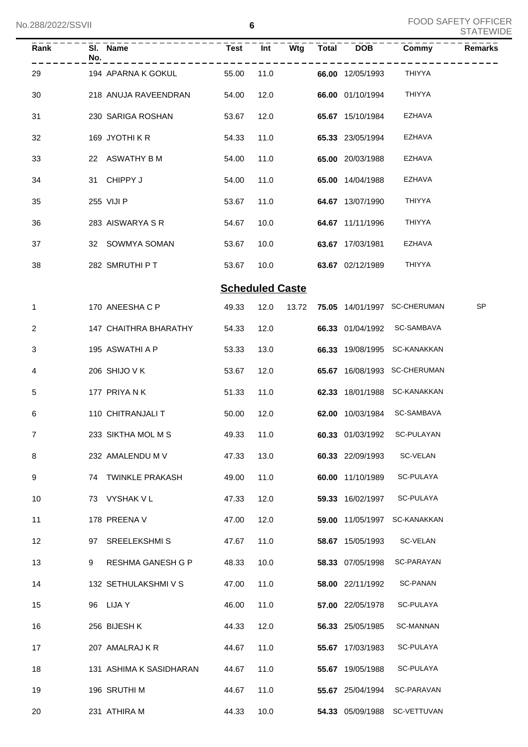| Rank | No. | SI. Name                | Test                   | $\overline{Int}$ |       | $Wtg$ Total DOB  | Commy                        | <b>Remarks</b> |
|------|-----|-------------------------|------------------------|------------------|-------|------------------|------------------------------|----------------|
| 29   |     | 194 APARNA K GOKUL      | 55.00                  | 11.0             |       | 66.00 12/05/1993 | THIYYA                       |                |
| 30   |     | 218 ANUJA RAVEENDRAN    | 54.00                  | 12.0             |       | 66.00 01/10/1994 | <b>THIYYA</b>                |                |
| 31   |     | 230 SARIGA ROSHAN       | 53.67                  | 12.0             |       | 65.67 15/10/1984 | <b>EZHAVA</b>                |                |
| 32   |     | 169 JYOTHIKR            | 54.33                  | 11.0             |       | 65.33 23/05/1994 | <b>EZHAVA</b>                |                |
| 33   |     | 22 ASWATHY B M          | 54.00                  | 11.0             |       | 65.00 20/03/1988 | <b>EZHAVA</b>                |                |
| 34   |     | 31 CHIPPY J             | 54.00                  | 11.0             |       | 65.00 14/04/1988 | <b>EZHAVA</b>                |                |
| 35   |     | 255 VIJI P              | 53.67                  | 11.0             |       | 64.67 13/07/1990 | <b>THIYYA</b>                |                |
| 36   |     | 283 AISWARYA S R        | 54.67                  | 10.0             |       | 64.67 11/11/1996 | <b>THIYYA</b>                |                |
| 37   |     | 32 SOWMYA SOMAN         | 53.67                  | 10.0             |       | 63.67 17/03/1981 | <b>EZHAVA</b>                |                |
| 38   |     | 282 SMRUTHI P T         | 53.67                  | 10.0             |       | 63.67 02/12/1989 | THIYYA                       |                |
|      |     |                         | <b>Scheduled Caste</b> |                  |       |                  |                              |                |
| 1    |     | 170 ANEESHA C P         | 49.33                  | 12.0             | 13.72 |                  | 75.05 14/01/1997 SC-CHERUMAN | <b>SP</b>      |
| 2    |     | 147 CHAITHRA BHARATHY   | 54.33                  | 12.0             |       |                  | 66.33 01/04/1992 SC-SAMBAVA  |                |
| 3    |     | 195 ASWATHI A P         | 53.33                  | 13.0             |       |                  | 66.33 19/08/1995 SC-KANAKKAN |                |
| 4    |     | 206 SHIJO V K           | 53.67                  | 12.0             |       |                  | 65.67 16/08/1993 SC-CHERUMAN |                |
| 5    |     | 177 PRIYANK             | 51.33                  | 11.0             |       |                  | 62.33 18/01/1988 SC-KANAKKAN |                |
| 6    |     | 110 CHITRANJALI T       | 50.00                  | 12.0             |       |                  | 62.00 10/03/1984 SC-SAMBAVA  |                |
| 7    |     | 233 SIKTHA MOL M S      | 49.33 11.0             |                  |       |                  | 60.33 01/03/1992 SC-PULAYAN  |                |
| 8    |     | 232 AMALENDU M V        | 47.33                  | 13.0             |       | 60.33 22/09/1993 | SC-VELAN                     |                |
| 9    |     | 74 TWINKLE PRAKASH      | 49.00                  | 11.0             |       | 60.00 11/10/1989 | SC-PULAYA                    |                |
| 10   |     | 73 VYSHAK V L           | 47.33                  | 12.0             |       | 59.33 16/02/1997 | SC-PULAYA                    |                |
| 11   |     | 178 PREENA V            | 47.00                  | 12.0             |       | 59.00 11/05/1997 | <b>SC-KANAKKAN</b>           |                |
| 12   |     | 97 SREELEKSHMIS         | 47.67                  | 11.0             |       | 58.67 15/05/1993 | SC-VELAN                     |                |
| 13   | 9   | RESHMA GANESH G P       | 48.33                  | 10.0             |       | 58.33 07/05/1998 | SC-PARAYAN                   |                |
| 14   |     | 132 SETHULAKSHMI V S    | 47.00                  | 11.0             |       | 58.00 22/11/1992 | <b>SC-PANAN</b>              |                |
| 15   |     | 96 LIJA Y               | 46.00                  | 11.0             |       | 57.00 22/05/1978 | SC-PULAYA                    |                |
| 16   |     | 256 BIJESH K            | 44.33                  | 12.0             |       | 56.33 25/05/1985 | SC-MANNAN                    |                |
| 17   |     | 207 AMALRAJ K R         | 44.67                  | 11.0             |       | 55.67 17/03/1983 | SC-PULAYA                    |                |
| 18   |     | 131 ASHIMA K SASIDHARAN | 44.67                  | 11.0             |       | 55.67 19/05/1988 | SC-PULAYA                    |                |
| 19   |     | 196 SRUTHI M            | 44.67                  | 11.0             |       | 55.67 25/04/1994 | SC-PARAVAN                   |                |
| 20   |     | 231 ATHIRA M            | 44.33                  | 10.0             |       |                  | 54.33 05/09/1988 SC-VETTUVAN |                |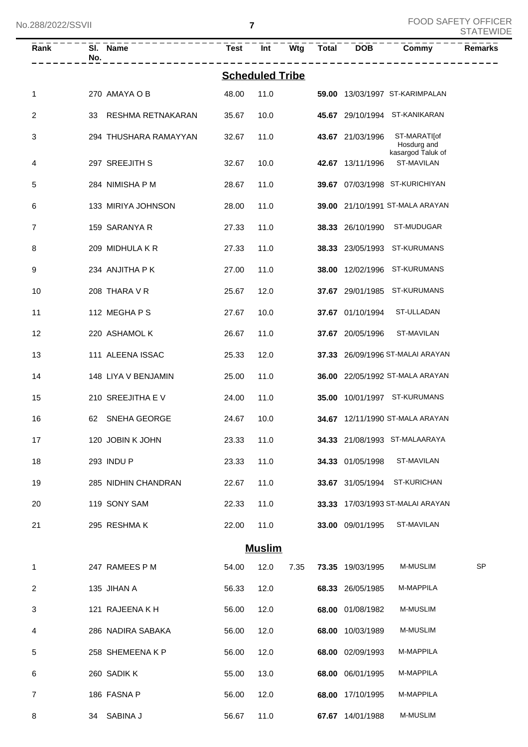| No.288/2022/SSVII |                         |             | $\overline{\mathbf{r}}$ |     |              |                         |                                  | <b>FOOD SAFETY OFFICER</b><br><b>STATEWIDE</b> |
|-------------------|-------------------------|-------------|-------------------------|-----|--------------|-------------------------|----------------------------------|------------------------------------------------|
| Rank              | SI. Name<br>No.         | <b>Test</b> | Int                     | Wtg | <b>Total</b> | <b>DOB</b>              | Commy                            | Remarks                                        |
|                   |                         |             | <b>Scheduled Tribe</b>  |     |              |                         |                                  |                                                |
| 1                 | 270 AMAYA O B           | 48.00       | 11.0                    |     |              |                         | 59.00 13/03/1997 ST-KARIMPALAN   |                                                |
| 2                 | RESHMA RETNAKARAN<br>33 | 35.67       | 10.0                    |     |              |                         | 45.67 29/10/1994 ST-KANIKARAN    |                                                |
| 3                 | 294 THUSHARA RAMAYYAN   | 32.67       | 11.0                    |     |              | 43.67 21/03/1996        | ST-MARATI[of<br>Hosdurg and      |                                                |
| 4                 | 297 SREEJITH S          | 32.67       | 10.0                    |     |              | 42.67 13/11/1996        | kasargod Taluk of<br>ST-MAVILAN  |                                                |
| 5                 | 284 NIMISHA P M         | 28.67       | 11.0                    |     |              |                         | 39.67 07/03/1998 ST-KURICHIYAN   |                                                |
| 6                 | 133 MIRIYA JOHNSON      | 28.00       | 11.0                    |     |              |                         | 39.00 21/10/1991 ST-MALA ARAYAN  |                                                |
| $\overline{7}$    | 159 SARANYA R           | 27.33       | 11.0                    |     |              | 38.33 26/10/1990        | ST-MUDUGAR                       |                                                |
| 8                 | 209 MIDHULA K R         | 27.33       | 11.0                    |     |              | 38.33 23/05/1993        | ST-KURUMANS                      |                                                |
| 9                 | 234 ANJITHA P K         | 27.00       | 11.0                    |     |              | <b>38.00</b> 12/02/1996 | ST-KURUMANS                      |                                                |
| 10                | 208 THARA V R           | 25.67       | 12.0                    |     |              | 37.67 29/01/1985        | ST-KURUMANS                      |                                                |
| 11                | 112 MEGHAPS             | 27.67       | 10.0                    |     |              | 37.67 01/10/1994        | ST-ULLADAN                       |                                                |
| 12                | 220 ASHAMOL K           | 26.67       | 11.0                    |     |              | 37.67 20/05/1996        | ST-MAVILAN                       |                                                |
| 13                | 111 ALEENA ISSAC        | 25.33       | 12.0                    |     |              |                         | 37.33 26/09/1996 ST-MALAI ARAYAN |                                                |
| 14                | 148 LIYA V BENJAMIN     | 25.00       | 11.0                    |     |              |                         | 36.00 22/05/1992 ST-MALA ARAYAN  |                                                |
| 15                | 210 SREEJITHA EV        | 24.00       | 11.0                    |     |              |                         | 35.00 10/01/1997 ST-KURUMANS     |                                                |

| 15 | 210 SREEJITHA EV    | 24.00 | 11.0 | 35.00 | 10/01/1997       | <b>ST-KURUMANS</b>            |
|----|---------------------|-------|------|-------|------------------|-------------------------------|
| 16 | SNEHA GEORGE<br>62  | 24.67 | 10.0 | 34.67 |                  | 12/11/1990 ST-MALA ARAYAN     |
| 17 | 120 JOBIN K JOHN    | 23.33 | 11.0 |       |                  | 34.33 21/08/1993 ST-MALAARAYA |
| 18 | 293 INDU P          | 23.33 | 11.0 |       | 34.33 01/05/1998 | ST-MAVILAN                    |
| 19 | 285 NIDHIN CHANDRAN | 22.67 | 11.0 | 33.67 | 31/05/1994       | <b>ST-KURICHAN</b>            |
| 20 | 119 SONY SAM        | 22.33 | 11.0 | 33.33 |                  | 17/03/1993 ST-MALAI ARAYAN    |
| 21 | 295 RESHMAK         | 22.00 | 11.0 | 33.00 | 09/01/1995       | ST-MAVILAN                    |

| VII<br>U<br>лп<br>П<br>- |
|--------------------------|
|--------------------------|

| 1 | 247 RAMEES P M    | 54.00 | 12.0 | 7.35 | 73.35 | 19/03/1995       | <b>M-MUSLIM</b>  | <b>SP</b> |
|---|-------------------|-------|------|------|-------|------------------|------------------|-----------|
| 2 | 135 JIHAN A       | 56.33 | 12.0 |      |       | 68.33 26/05/1985 | <b>M-MAPPILA</b> |           |
| 3 | 121 RAJEENA K H   | 56.00 | 12.0 |      | 68.00 | 01/08/1982       | <b>M-MUSLIM</b>  |           |
| 4 | 286 NADIRA SABAKA | 56.00 | 12.0 |      | 68.00 | 10/03/1989       | <b>M-MUSLIM</b>  |           |
| 5 | 258 SHEMEENAKP    | 56.00 | 12.0 |      | 68.00 | 02/09/1993       | <b>M-MAPPILA</b> |           |
| 6 | 260 SADIK K       | 55.00 | 13.0 |      | 68.00 | 06/01/1995       | <b>M-MAPPILA</b> |           |
| 7 | 186 FASNA P       | 56.00 | 12.0 |      | 68.00 | 17/10/1995       | <b>M-MAPPILA</b> |           |
| 8 | SABINA J<br>34    | 56.67 | 11.0 |      | 67.67 | 14/01/1988       | <b>M-MUSLIM</b>  |           |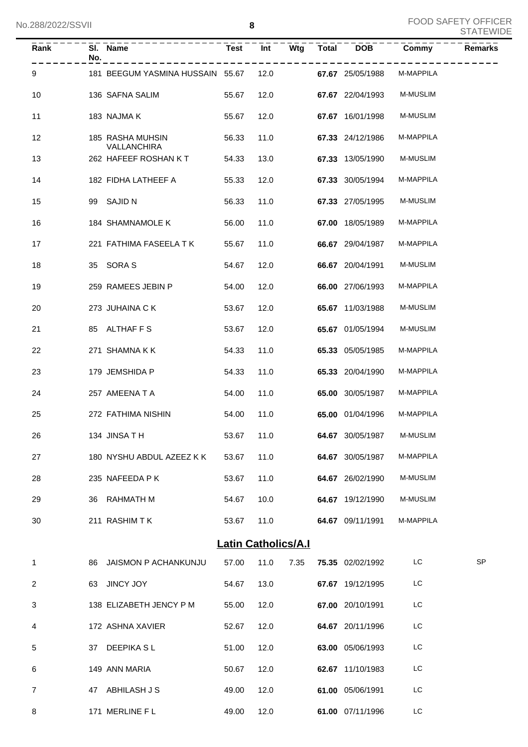| <b>Rank</b> | No. | SI. Name                               | <b>Test</b>                | Int  |      | Wtg Total DOB    | Commy     | <b>Remarks</b> |
|-------------|-----|----------------------------------------|----------------------------|------|------|------------------|-----------|----------------|
| 9           |     | 181 BEEGUM YASMINA HUSSAIN 55.67       |                            | 12.0 |      | 67.67 25/05/1988 | M-MAPPILA |                |
| 10          |     | 136 SAFNA SALIM                        | 55.67                      | 12.0 |      | 67.67 22/04/1993 | M-MUSLIM  |                |
| 11          |     | 183 NAJMA K                            | 55.67                      | 12.0 |      | 67.67 16/01/1998 | M-MUSLIM  |                |
| 12          |     | 185 RASHA MUHSIN<br><b>VALLANCHIRA</b> | 56.33                      | 11.0 |      | 67.33 24/12/1986 | M-MAPPILA |                |
| 13          |     | 262 HAFEEF ROSHAN KT                   | 54.33                      | 13.0 |      | 67.33 13/05/1990 | M-MUSLIM  |                |
| 14          |     | 182 FIDHA LATHEEF A                    | 55.33                      | 12.0 |      | 67.33 30/05/1994 | M-MAPPILA |                |
| 15          |     | 99 SAJID N                             | 56.33                      | 11.0 |      | 67.33 27/05/1995 | M-MUSLIM  |                |
| 16          |     | 184 SHAMNAMOLE K                       | 56.00                      | 11.0 |      | 67.00 18/05/1989 | M-MAPPILA |                |
| 17          |     | 221 FATHIMA FASEELA T K                | 55.67                      | 11.0 |      | 66.67 29/04/1987 | M-MAPPILA |                |
| 18          |     | 35 SORA S                              | 54.67                      | 12.0 |      | 66.67 20/04/1991 | M-MUSLIM  |                |
| 19          |     | 259 RAMEES JEBIN P                     | 54.00                      | 12.0 |      | 66.00 27/06/1993 | M-MAPPILA |                |
| 20          |     | 273 JUHAINA C K                        | 53.67                      | 12.0 |      | 65.67 11/03/1988 | M-MUSLIM  |                |
| 21          |     | 85 ALTHAF F S                          | 53.67                      | 12.0 |      | 65.67 01/05/1994 | M-MUSLIM  |                |
| 22          |     | 271 SHAMNA K K                         | 54.33                      | 11.0 |      | 65.33 05/05/1985 | M-MAPPILA |                |
| 23          |     | 179 JEMSHIDA P                         | 54.33                      | 11.0 |      | 65.33 20/04/1990 | M-MAPPILA |                |
| 24          |     | 257 AMEENA T A                         | 54.00                      | 11.0 |      | 65.00 30/05/1987 | M-MAPPILA |                |
| 25          |     | 272 FATHIMA NISHIN                     | 54.00                      | 11.0 |      | 65.00 01/04/1996 | M-MAPPILA |                |
| 26          |     | 134 JINSATH                            | 53.67 11.0                 |      |      | 64.67 30/05/1987 | M-MUSLIM  |                |
| 27          |     | 180 NYSHU ABDUL AZEEZ K K 53.67        |                            | 11.0 |      | 64.67 30/05/1987 | M-MAPPILA |                |
| 28          |     | 235 NAFEEDA P K                        | 53.67                      | 11.0 |      | 64.67 26/02/1990 | M-MUSLIM  |                |
| 29          |     | 36 RAHMATH M                           | 54.67                      | 10.0 |      | 64.67 19/12/1990 | M-MUSLIM  |                |
| 30          |     | 211 RASHIM TK                          | 53.67                      | 11.0 |      | 64.67 09/11/1991 | M-MAPPILA |                |
|             |     |                                        | <b>Latin Catholics/A.I</b> |      |      |                  |           |                |
| 1           | 86  | <b>JAISMON P ACHANKUNJU</b>            | 57.00                      | 11.0 | 7.35 | 75.35 02/02/1992 | LC        | <b>SP</b>      |
| 2           |     | 63 JINCY JOY                           | 54.67                      | 13.0 |      | 67.67 19/12/1995 | LC        |                |
| 3           |     | 138 ELIZABETH JENCY P M                | 55.00                      | 12.0 |      | 67.00 20/10/1991 | LC        |                |
| 4           |     | 172 ASHNA XAVIER                       | 52.67                      | 12.0 |      | 64.67 20/11/1996 | LC        |                |
| 5           |     | 37 DEEPIKA SL                          | 51.00                      | 12.0 |      | 63.00 05/06/1993 | LC        |                |
| 6           |     | 149 ANN MARIA                          | 50.67                      | 12.0 |      | 62.67 11/10/1983 | LC        |                |
| 7           |     | 47 ABHILASH J S                        | 49.00                      | 12.0 |      | 61.00 05/06/1991 | LC        |                |
| 8           |     | 171 MERLINE F L                        | 49.00                      | 12.0 |      | 61.00 07/11/1996 | LC        |                |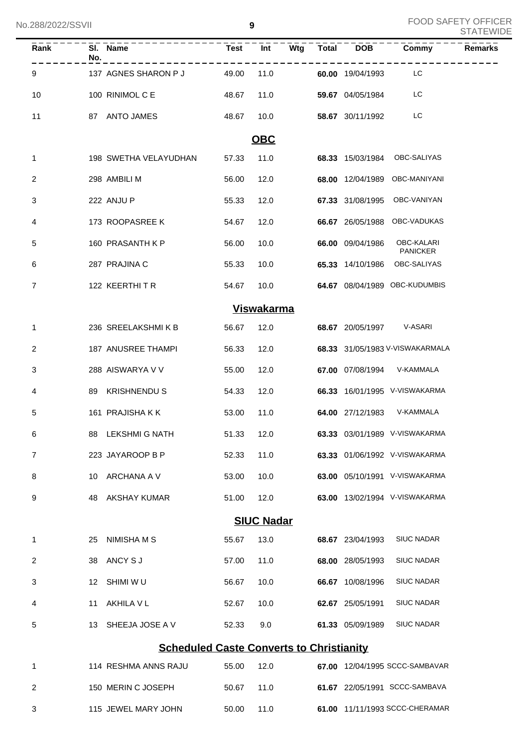| Rank           | SI. Name<br>No.                                 |       |                   |  |                     | Test Int Wtg Total DOB Commy            | <b>Remarks</b> |
|----------------|-------------------------------------------------|-------|-------------------|--|---------------------|-----------------------------------------|----------------|
| 9              | 137 AGNES SHARON P J                            | 49.00 | 11.0              |  | 60.00 19/04/1993    | <b>EXECUTE:</b>                         |                |
| 10             | 100 RINIMOL C E<br>48.67                        |       | 11.0              |  | 59.67 04/05/1984 LC |                                         |                |
| 11             | 87 ANTO JAMES                                   | 48.67 | 10.0              |  | 58.67 30/11/1992    | <b>Example 1</b>                        |                |
|                |                                                 |       | OBC               |  |                     |                                         |                |
| $\mathbf 1$    | 198 SWETHA VELAYUDHAN                           | 57.33 | 11.0              |  |                     | 68.33 15/03/1984 OBC-SALIYAS            |                |
| $\overline{2}$ | 298 AMBILI M                                    | 56.00 | 12.0              |  |                     | 68.00 12/04/1989 OBC-MANIYANI           |                |
| 3              | 222 ANJU P                                      | 55.33 | 12.0              |  |                     | 67.33 31/08/1995 OBC-VANIYAN            |                |
| 4              | 173 ROOPASREE K                                 | 54.67 | 12.0              |  |                     | 66.67 26/05/1988 OBC-VADUKAS            |                |
| 5              | 160 PRASANTH K P                                | 56.00 | 10.0              |  |                     | 66.00 09/04/1986 OBC-KALARI<br>PANICKER |                |
| 6              | 287 PRAJINA C                                   | 55.33 | 10.0              |  |                     | 65.33 14/10/1986 OBC-SALIYAS            |                |
| $\overline{7}$ | 122 KEERTHITR                                   | 54.67 | 10.0              |  |                     | 64.67 08/04/1989 OBC-KUDUMBIS           |                |
|                |                                                 |       | <b>Viswakarma</b> |  |                     |                                         |                |
| $\mathbf 1$    | 236 SREELAKSHMIKB                               | 56.67 | 12.0              |  |                     | 68.67 20/05/1997 V-ASARI                |                |
| 2              | 187 ANUSREE THAMPI                              | 56.33 | 12.0              |  |                     | 68.33 31/05/1983 V-VISWAKARMALA         |                |
| 3              | 288 AISWARYA V V                                | 55.00 | 12.0              |  |                     | 67.00 07/08/1994 V-KAMMALA              |                |
| 4              | 89 KRISHNENDU S                                 | 54.33 | 12.0              |  |                     | 66.33 16/01/1995 V-VISWAKARMA           |                |
| 5              | 161 PRAJISHA K K                                | 53.00 | 11.0              |  |                     | 64.00 27/12/1983 V-KAMMALA              |                |
| 6              | 88 LEKSHMI G NATH                               | 51.33 | 12.0              |  |                     | 63.33 03/01/1989 V-VISWAKARMA           |                |
| $\overline{7}$ | 223 JAYAROOP B P                                | 52.33 | 11.0              |  |                     | 63.33 01/06/1992 V-VISWAKARMA           |                |
| 8              | ARCHANA A V<br>10                               | 53.00 | 10.0              |  |                     | 63.00 05/10/1991 V-VISWAKARMA           |                |
| 9              | <b>AKSHAY KUMAR</b><br>48                       | 51.00 | 12.0              |  |                     | 63.00 13/02/1994 V-VISWAKARMA           |                |
|                |                                                 |       | <b>SIUC Nadar</b> |  |                     |                                         |                |
| 1              | NIMISHA M S<br>25                               | 55.67 | 13.0              |  | 68.67 23/04/1993    | <b>SIUC NADAR</b>                       |                |
| 2              | ANCY S J<br>38                                  | 57.00 | 11.0              |  | 68.00 28/05/1993    | <b>SIUC NADAR</b>                       |                |
| 3              | SHIMI W U<br>12                                 | 56.67 | 10.0              |  | 66.67 10/08/1996    | <b>SIUC NADAR</b>                       |                |
| 4              | AKHILA V L<br>11                                | 52.67 | 10.0              |  | 62.67 25/05/1991    | <b>SIUC NADAR</b>                       |                |
| 5              | SHEEJA JOSE A V<br>13                           | 52.33 | 9.0               |  | 61.33 05/09/1989    | <b>SIUC NADAR</b>                       |                |
|                | <b>Scheduled Caste Converts to Christianity</b> |       |                   |  |                     |                                         |                |
| 1              | 114 RESHMA ANNS RAJU                            | 55.00 | 12.0              |  |                     | 67.00 12/04/1995 SCCC-SAMBAVAR          |                |
| 2              | 150 MERIN C JOSEPH                              | 50.67 | 11.0              |  |                     | 61.67 22/05/1991 SCCC-SAMBAVA           |                |
| 3              | 115 JEWEL MARY JOHN                             | 50.00 | 11.0              |  |                     | 61.00 11/11/1993 SCCC-CHERAMAR          |                |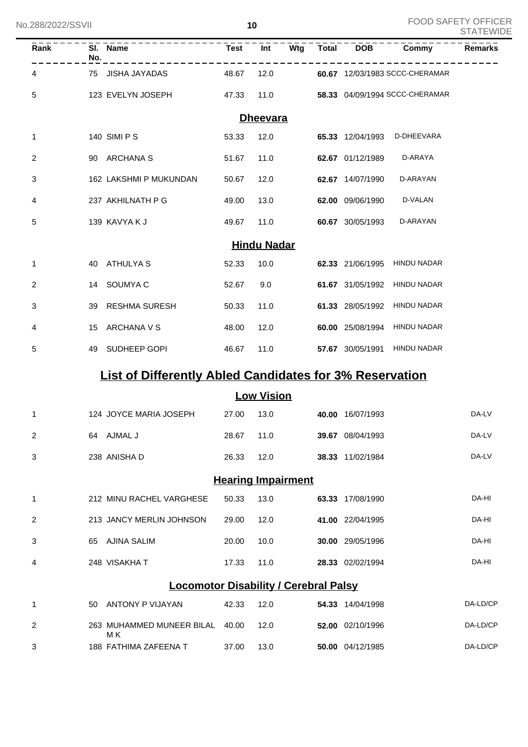M K

| No.288/2022/SSVII |     |                                                                | 10                        |                    |     |              |                                |                                | <b>FOOD SAFETY OFFICER</b><br><b>STATEWIDE</b> |
|-------------------|-----|----------------------------------------------------------------|---------------------------|--------------------|-----|--------------|--------------------------------|--------------------------------|------------------------------------------------|
| Rank              | No. | - - - - - - - - - - - - -<br>SI. Name                          | <b>Test</b>               | Int                | Wtg | <b>Total</b> | <b>DOB</b>                     | Commy                          | <b>Remarks</b>                                 |
| 4                 |     | 75 JISHA JAYADAS                                               | 48.67                     | 12.0               |     |              |                                | 60.67 12/03/1983 SCCC-CHERAMAR |                                                |
| 5                 |     | 123 EVELYN JOSEPH                                              | 47.33                     | 11.0               |     |              |                                | 58.33 04/09/1994 SCCC-CHERAMAR |                                                |
|                   |     |                                                                |                           | <b>Dheevara</b>    |     |              |                                |                                |                                                |
| 1                 |     | 140 SIMI P S                                                   | 53.33                     | 12.0               |     |              | 65.33 12/04/1993               | D-DHEEVARA                     |                                                |
| 2                 |     | 90 ARCHANA S                                                   | 51.67                     | 11.0               |     |              | 62.67 01/12/1989               | D-ARAYA                        |                                                |
| 3                 |     | 162 LAKSHMI P MUKUNDAN                                         | 50.67                     | 12.0               |     |              | 62.67 14/07/1990               | D-ARAYAN                       |                                                |
| 4                 |     | 237 AKHILNATH P G                                              | 49.00                     | 13.0               |     |              | 62.00 09/06/1990               | D-VALAN                        |                                                |
| 5                 |     | 139 KAVYA K J                                                  | 49.67                     | 11.0               |     |              | 60.67 30/05/1993               | D-ARAYAN                       |                                                |
|                   |     |                                                                |                           | <b>Hindu Nadar</b> |     |              |                                |                                |                                                |
| 1                 | 40  | ATHULYA S                                                      | 52.33                     | 10.0               |     |              | 62.33 21/06/1995               | <b>HINDU NADAR</b>             |                                                |
| 2                 | 14  | SOUMYA C                                                       | 52.67                     | 9.0                |     |              | 61.67 31/05/1992               | <b>HINDU NADAR</b>             |                                                |
| 3                 | 39  | <b>RESHMA SURESH</b>                                           | 50.33                     | 11.0               |     |              | 61.33 28/05/1992               | <b>HINDU NADAR</b>             |                                                |
| 4                 | 15  | ARCHANA V S                                                    | 48.00                     | 12.0               |     |              | 60.00 25/08/1994               | <b>HINDU NADAR</b>             |                                                |
| 5                 | 49  | SUDHEEP GOPI                                                   | 46.67                     | 11.0               |     |              | 57.67 30/05/1991               | <b>HINDU NADAR</b>             |                                                |
|                   |     | <b>List of Differently Abled Candidates for 3% Reservation</b> |                           |                    |     |              |                                |                                |                                                |
|                   |     |                                                                |                           | <b>Low Vision</b>  |     |              |                                |                                |                                                |
| 1.                |     | 124 JOYCE MARIA JOSEPH                                         |                           |                    |     |              | 27.00  13.0  40.00  16/07/1993 |                                | DA-LV                                          |
| 2                 |     | 64 AJMAL J                                                     | 28.67                     | 11.0               |     |              | 39.67 08/04/1993               |                                | DA-LV                                          |
| 3                 |     | 238 ANISHA D                                                   | 26.33                     | 12.0               |     |              | 38.33 11/02/1984               |                                | DA-LV                                          |
|                   |     |                                                                | <b>Hearing Impairment</b> |                    |     |              |                                |                                |                                                |
| 1                 |     | 212 MINU RACHEL VARGHESE                                       | 50.33                     | 13.0               |     |              | 63.33 17/08/1990               |                                | DA-HI                                          |
| $\overline{2}$    |     | 213 JANCY MERLIN JOHNSON                                       | 29.00                     | 12.0               |     |              | 41.00 22/04/1995               |                                | DA-HI                                          |
| 3                 |     | 65 AJINA SALIM                                                 | 20.00                     | 10.0               |     |              | 30.00 29/05/1996               |                                | DA-HI                                          |
| 4                 |     | 248 VISAKHA T                                                  | 17.33                     | 11.0               |     |              | 28.33 02/02/1994               |                                | DA-HI                                          |
|                   |     | <b>Locomotor Disability / Cerebral Palsy</b>                   |                           |                    |     |              |                                |                                |                                                |
| 1                 |     | 50 ANTONY P VIJAYAN                                            | 42.33                     | 12.0               |     |              | 54.33 14/04/1998               |                                | DA-LD/CP                                       |
| $\overline{2}$    |     | 263 MUHAMMED MUNEER BILAL 40.00                                |                           | 12.0               |     |              | 52.00 02/10/1996               |                                | DA-LD/CP                                       |

188 FATHIMA ZAFEENA T 37.00 13.0 **50.00** 04/12/1985 DA-LD/CP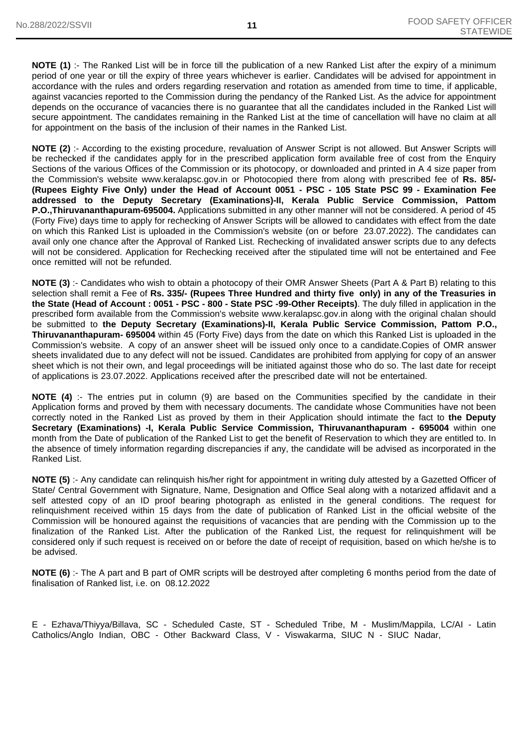**NOTE (1)** :- The Ranked List will be in force till the publication of a new Ranked List after the expiry of a minimum period of one year or till the expiry of three years whichever is earlier. Candidates will be advised for appointment in accordance with the rules and orders regarding reservation and rotation as amended from time to time, if applicable, against vacancies reported to the Commission during the pendancy of the Ranked List. As the advice for appointment depends on the occurance of vacancies there is no guarantee that all the candidates included in the Ranked List will secure appointment. The candidates remaining in the Ranked List at the time of cancellation will have no claim at all for appointment on the basis of the inclusion of their names in the Ranked List.

**NOTE (2)** :- According to the existing procedure, revaluation of Answer Script is not allowed. But Answer Scripts will be rechecked if the candidates apply for in the prescribed application form available free of cost from the Enquiry Sections of the various Offices of the Commission or its photocopy, or downloaded and printed in A 4 size paper from the Commission's website www.keralapsc.gov.in or Photocopied there from along with prescribed fee of **Rs. 85/- (Rupees Eighty Five Only) under the Head of Account 0051 - PSC - 105 State PSC 99 - Examination Fee addressed to the Deputy Secretary (Examinations)-II, Kerala Public Service Commission, Pattom P.O.,Thiruvananthapuram-695004.** Applications submitted in any other manner will not be considered. A period of 45 (Forty Five) days time to apply for rechecking of Answer Scripts will be allowed to candidates with effect from the date on which this Ranked List is uploaded in the Commission's website (on or before 23.07.2022). The candidates can avail only one chance after the Approval of Ranked List. Rechecking of invalidated answer scripts due to any defects will not be considered. Application for Rechecking received after the stipulated time will not be entertained and Fee once remitted will not be refunded.

**NOTE (3)** :- Candidates who wish to obtain a photocopy of their OMR Answer Sheets (Part A & Part B) relating to this selection shall remit a Fee of **Rs. 335/- (Rupees Three Hundred and thirty five only) in any of the Treasuries in the State (Head of Account : 0051 - PSC - 800 - State PSC -99-Other Receipts)**. The duly filled in application in the prescribed form available from the Commission's website www.keralapsc.gov.in along with the original chalan should be submitted to **the Deputy Secretary (Examinations)-II, Kerala Public Service Commission, Pattom P.O., Thiruvananthapuram- 695004** within 45 (Forty Five) days from the date on which this Ranked List is uploaded in the Commission's website. A copy of an answer sheet will be issued only once to a candidate.Copies of OMR answer sheets invalidated due to any defect will not be issued. Candidates are prohibited from applying for copy of an answer sheet which is not their own, and legal proceedings will be initiated against those who do so. The last date for receipt of applications is 23.07.2022. Applications received after the prescribed date will not be entertained.

**NOTE (4)** :- The entries put in column (9) are based on the Communities specified by the candidate in their Application forms and proved by them with necessary documents. The candidate whose Communities have not been correctly noted in the Ranked List as proved by them in their Application should intimate the fact to **the Deputy Secretary (Examinations) -I, Kerala Public Service Commission, Thiruvananthapuram - 695004** within one month from the Date of publication of the Ranked List to get the benefit of Reservation to which they are entitled to. In the absence of timely information regarding discrepancies if any, the candidate will be advised as incorporated in the Ranked List.

**NOTE (5)** :- Any candidate can relinquish his/her right for appointment in writing duly attested by a Gazetted Officer of State/ Central Government with Signature, Name, Designation and Office Seal along with a notarized affidavit and a self attested copy of an ID proof bearing photograph as enlisted in the general conditions. The request for relinquishment received within 15 days from the date of publication of Ranked List in the official website of the Commission will be honoured against the requisitions of vacancies that are pending with the Commission up to the finalization of the Ranked List. After the publication of the Ranked List, the request for relinquishment will be considered only if such request is received on or before the date of receipt of requisition, based on which he/she is to be advised.

**NOTE (6)** :- The A part and B part of OMR scripts will be destroyed after completing 6 months period from the date of finalisation of Ranked list, i.e. on 08.12.2022

E - Ezhava/Thiyya/Billava, SC - Scheduled Caste, ST - Scheduled Tribe, M - Muslim/Mappila, LC/AI - Latin Catholics/Anglo Indian, OBC - Other Backward Class, V - Viswakarma, SIUC N - SIUC Nadar,